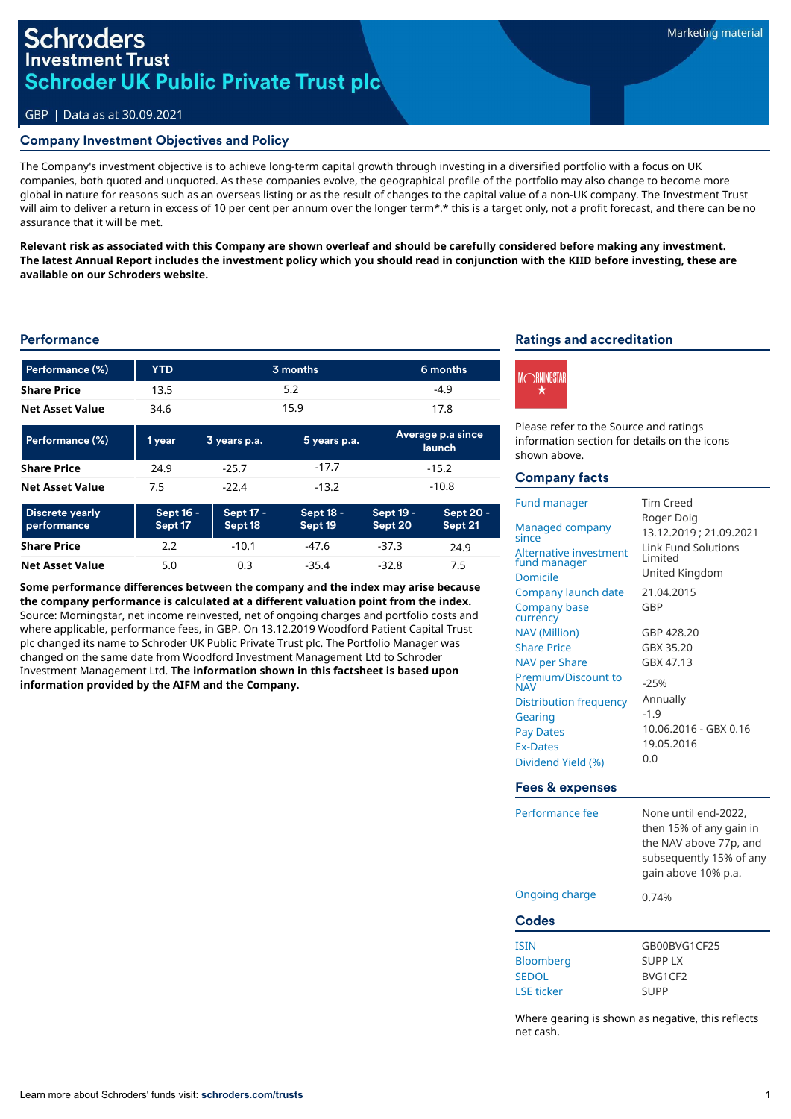## **Schroders Investment Trust Schroder UK Public Private Trust plc**

#### GBP | Data as at 30.09.2021

#### Company Investment Objectives and Policy

The Company's investment objective is to achieve long-term capital growth through investing in a diversified portfolio with a focus on UK companies, both quoted and unquoted. As these companies evolve, the geographical profile of the portfolio may also change to become more global in nature for reasons such as an overseas listing or as the result of changes to the capital value of a non-UK company. The Investment Trust will aim to deliver a return in excess of 10 per cent per annum over the longer term\*.\* this is a target only, not a profit forecast, and there can be no assurance that it will be met.

**Relevant risk as associated with this Company are shown overleaf and should be carefully considered before making any investment. The latest Annual Report includes the investment policy which you should read in conjunction with the KIID before investing, these are available on our Schroders website.**

#### **Performance**

| Performance (%)                       | <b>YTD</b>           | 3 months                    |                      | 6 months                           |                      |
|---------------------------------------|----------------------|-----------------------------|----------------------|------------------------------------|----------------------|
| <b>Share Price</b>                    | 13.5                 | 5.2                         |                      | $-4.9$                             |                      |
| <b>Net Asset Value</b>                | 34.6                 | 15.9<br>17.8                |                      |                                    |                      |
| Performance (%)                       | 1 year               | 3 years p.a.                | 5 years p.a.         | Average p.a since<br><b>launch</b> |                      |
| <b>Share Price</b>                    | 24.9                 | $-25.7$                     | $-17.7$              | $-15.2$                            |                      |
| <b>Net Asset Value</b>                | 7.5                  | $-22.4$                     | $-13.2$              | $-10.8$                            |                      |
| <b>Discrete yearly</b><br>performance | Sept 16 -<br>Sept 17 | <b>Sept 17 -</b><br>Sept 18 | Sept 18 -<br>Sept 19 | Sept 19 -<br>Sept 20               | Sept 20 -<br>Sept 21 |
| <b>Share Price</b>                    | 2.2                  | $-10.1$                     | $-47.6$              | $-37.3$                            | 24.9                 |
| <b>Net Asset Value</b>                | 5.0                  | 0.3                         | $-35.4$              | $-32.8$                            | 7.5                  |

**Some performance differences between the company and the index may arise because the company performance is calculated at a different valuation point from the index.**  Source: Morningstar, net income reinvested, net of ongoing charges and portfolio costs and where applicable, performance fees, in GBP. On 13.12.2019 Woodford Patient Capital Trust plc changed its name to Schroder UK Public Private Trust plc. The Portfolio Manager was changed on the same date from Woodford Investment Management Ltd to Schroder Investment Management Ltd. **The information shown in this factsheet is based upon information provided by the AIFM and the Company.**

## Ratings and accreditation



Please refer to the Source and ratings information section for details on the icons shown above.

#### Company facts

| <b>Fund manager</b>                                                            | Tim Creed                                                                                 |  |
|--------------------------------------------------------------------------------|-------------------------------------------------------------------------------------------|--|
| Managed company<br>since<br>Alternative investment<br>fund manager<br>Domicile | Roger Doig<br>13.12.2019; 21.09.2021<br>Link Fund Solutions<br>I imited<br>United Kingdom |  |
| Company launch date                                                            | 21.04.2015                                                                                |  |
| Company base<br>currency                                                       | GBP                                                                                       |  |
| <b>NAV (Million)</b>                                                           | GBP 428.20                                                                                |  |
| <b>Share Price</b>                                                             | GBX 35.20                                                                                 |  |
| NAV per Share                                                                  | GBX 47.13                                                                                 |  |
| Premium/Discount to<br><b>NAV</b>                                              | $-25%$                                                                                    |  |
| Distribution frequency                                                         | Annually                                                                                  |  |
| Gearing                                                                        | $-1.9$                                                                                    |  |
| <b>Pay Dates</b>                                                               | 10.06.2016 - GBX 0.16                                                                     |  |
| <b>Ex-Dates</b>                                                                | 19.05.2016                                                                                |  |
| Dividend Yield (%)                                                             | 0.0                                                                                       |  |

#### Fees & expenses

| Performance fee   | None until end-2022.<br>then 15% of any gain in<br>the NAV above 77p, and<br>subsequently 15% of any<br>gain above 10% p.a. |  |  |  |
|-------------------|-----------------------------------------------------------------------------------------------------------------------------|--|--|--|
| Ongoing charge    | 0.74%                                                                                                                       |  |  |  |
| Codes             |                                                                                                                             |  |  |  |
| <b>ISIN</b>       | GB00BVG1CF25                                                                                                                |  |  |  |
| <b>Bloomberg</b>  | <b>SUPPLX</b>                                                                                                               |  |  |  |
| <b>SEDOL</b>      | BVG1CF2                                                                                                                     |  |  |  |
| <b>LSE ticker</b> | <b>SUPP</b>                                                                                                                 |  |  |  |

Where gearing is shown as negative, this reflects net cash.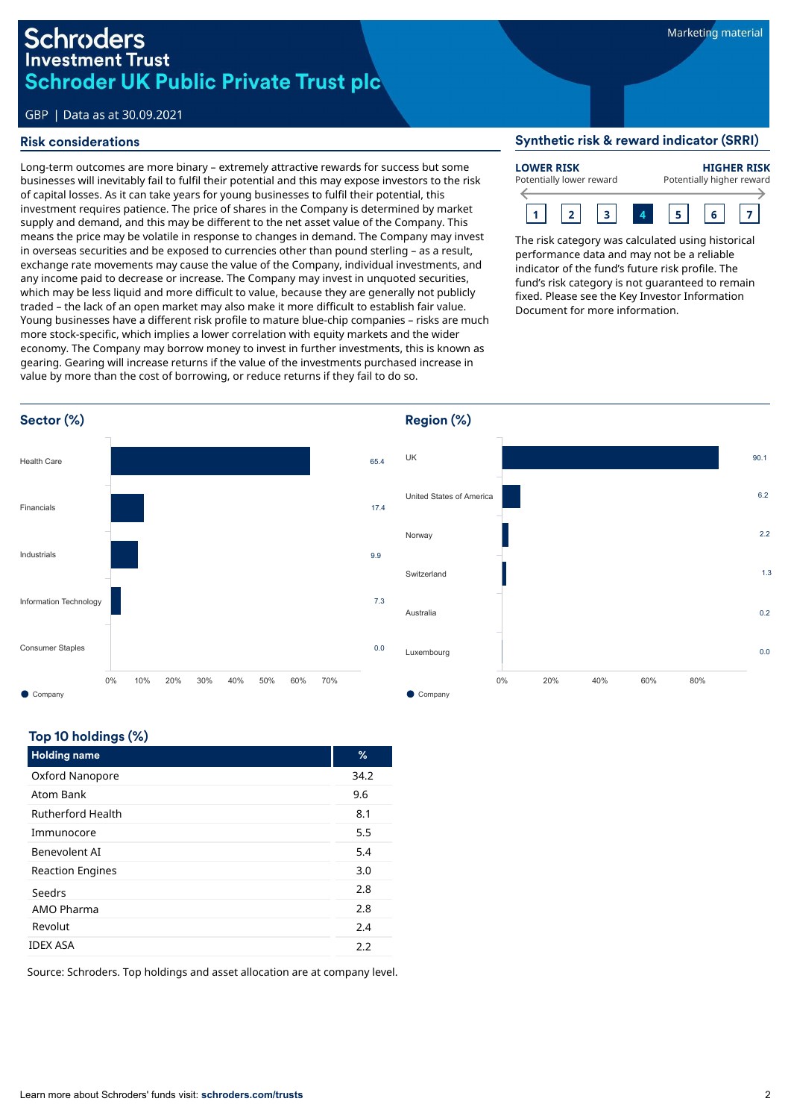# Schroders **Investment Trust Schroder UK Public Private Trust plc**

## GBP | Data as at 30.09.2021

### Risk considerations

Long-term outcomes are more binary – extremely attractive rewards for success but some businesses will inevitably fail to fulfil their potential and this may expose investors to the risk of capital losses. As it can take years for young businesses to fulfil their potential, this investment requires patience. The price of shares in the Company is determined by market supply and demand, and this may be different to the net asset value of the Company. This means the price may be volatile in response to changes in demand. The Company may invest in overseas securities and be exposed to currencies other than pound sterling – as a result, exchange rate movements may cause the value of the Company, individual investments, and any income paid to decrease or increase. The Company may invest in unquoted securities, which may be less liquid and more difficult to value, because they are generally not publicly traded – the lack of an open market may also make it more difficult to establish fair value. Young businesses have a different risk profile to mature blue-chip companies – risks are much more stock-specific, which implies a lower correlation with equity markets and the wider economy. The Company may borrow money to invest in further investments, this is known as gearing. Gearing will increase returns if the value of the investments purchased increase in value by more than the cost of borrowing, or reduce returns if they fail to do so.

#### Synthetic risk & reward indicator (SRRI)



The risk category was calculated using historical performance data and may not be a reliable indicator of the fund's future risk profile. The fund's risk category is not guaranteed to remain fixed. Please see the Key Investor Information Document for more information.



## Top 10 holdings (%)

| <b>Holding name</b>      | %    |
|--------------------------|------|
| Oxford Nanopore          | 34.2 |
| Atom Bank                | 9.6  |
| <b>Rutherford Health</b> | 8.1  |
| Immunocore               | 5.5  |
| Benevolent AI            | 5.4  |
| <b>Reaction Engines</b>  | 3.0  |
| Seedrs                   | 2.8  |
| AMO Pharma               | 2.8  |
| Revolut                  | 2.4  |
| <b>IDEX ASA</b>          | 2.2  |

Source: Schroders. Top holdings and asset allocation are at company level.